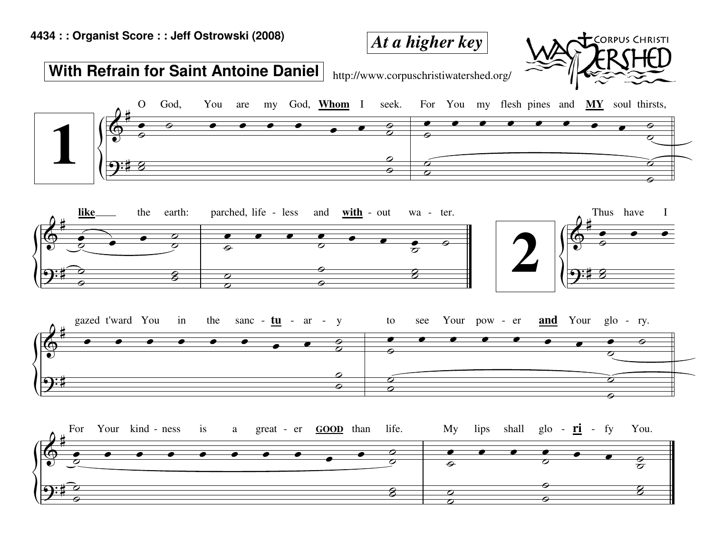## **4434 : : Organist Score : : Jeff Ostrowski (2008)**

## **With Refrain for Saint Antoine Daniel**

http://www.corpuschristiwatershed.org/

*At a higher key*